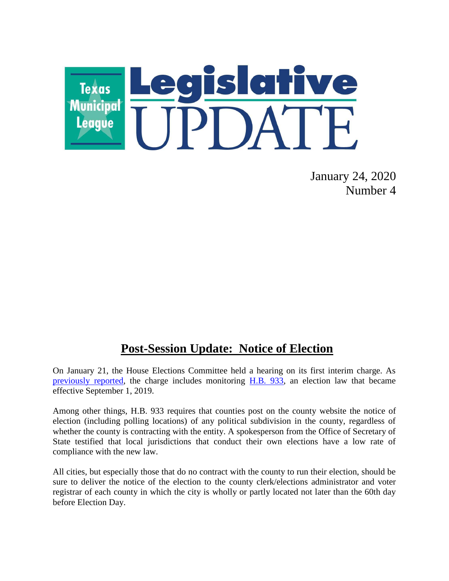

January 24, 2020 Number 4

## **Post-Session Update: Notice of Election**

On January 21, the House Elections Committee held a hearing on its first interim charge. As [previously reported,](https://www.tml.org/632/November-27-2019-Number-45#elections) the charge includes monitoring [H.B. 933,](https://capitol.texas.gov/BillLookup/History.aspx?LegSess=86R&Bill=HB933) an election law that became effective September 1, 2019.

Among other things, H.B. 933 requires that counties post on the county website the notice of election (including polling locations) of any political subdivision in the county, regardless of whether the county is contracting with the entity. A spokesperson from the Office of Secretary of State testified that local jurisdictions that conduct their own elections have a low rate of compliance with the new law.

All cities, but especially those that do no contract with the county to run their election, should be sure to deliver the notice of the election to the county clerk/elections administrator and voter registrar of each county in which the city is wholly or partly located not later than the 60th day before Election Day.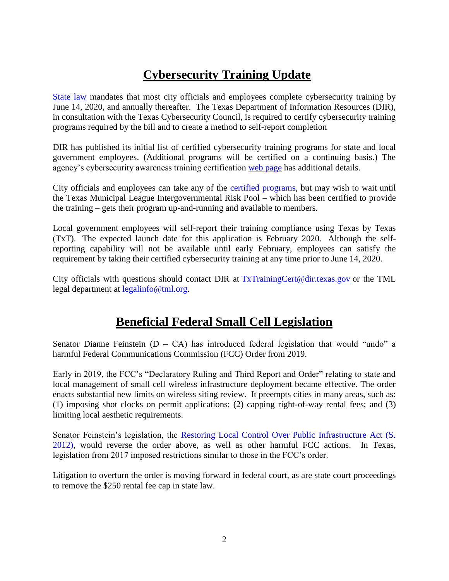## **Cybersecurity Training Update**

[State law](https://statutes.capitol.texas.gov/Docs/GV/htm/GV.2054.htm#2054.511) mandates that most city officials and employees complete cybersecurity training by June 14, 2020, and annually thereafter. The Texas Department of Information Resources (DIR), in consultation with the Texas Cybersecurity Council, is required to certify cybersecurity training programs required by the bill and to create a method to self-report completion

DIR has published its initial list of certified cybersecurity training programs for state and local government employees. (Additional programs will be certified on a continuing basis.) The agency's cybersecurity awareness training certification [web page](https://dir.texas.gov/View-About-DIR/Information-Security/Pages/Content.aspx?id=154) has additional details.

City officials and employees can take any of the [certified programs,](https://pubext.dir.texas.gov/portal/internal/resources/DocumentLibrary/Certified%20Training%20Programs.docx) but may wish to wait until the Texas Municipal League Intergovernmental Risk Pool – which has been certified to provide the training – gets their program up-and-running and available to members.

Local government employees will self-report their training compliance using Texas by Texas (TxT). The expected launch date for this application is February 2020. Although the selfreporting capability will not be available until early February, employees can satisfy the requirement by taking their certified cybersecurity training at any time prior to June 14, 2020.

City officials with questions should contact DIR at [TxTrainingCert@dir.texas.gov](mailto:TxTrainingCert@dir.texas.gov) or the TML legal department at [legalinfo@tml.org.](mailto:legalinfo@tml.org)

## **Beneficial Federal Small Cell Legislation**

Senator Dianne Feinstein  $(D - CA)$  has introduced federal legislation that would "undo" a harmful Federal Communications Commission (FCC) Order from 2019.

Early in 2019, the FCC's "Declaratory Ruling and Third Report and Order" relating to state and local management of small cell wireless infrastructure deployment became effective. The order enacts substantial new limits on wireless siting review. It preempts cities in many areas, such as: (1) imposing shot clocks on permit applications; (2) capping right-of-way rental fees; and (3) limiting local aesthetic requirements.

Senator Feinstein's legislation, the [Restoring Local Control Over Public Infrastructure Act \(S.](https://www.congress.gov/bill/116th-congress/senate-bill/2012)  [2012\),](https://www.congress.gov/bill/116th-congress/senate-bill/2012) would reverse the order above, as well as other harmful FCC actions. In Texas, legislation from 2017 imposed restrictions similar to those in the FCC's order.

Litigation to overturn the order is moving forward in federal court, as are state court proceedings to remove the \$250 rental fee cap in state law.